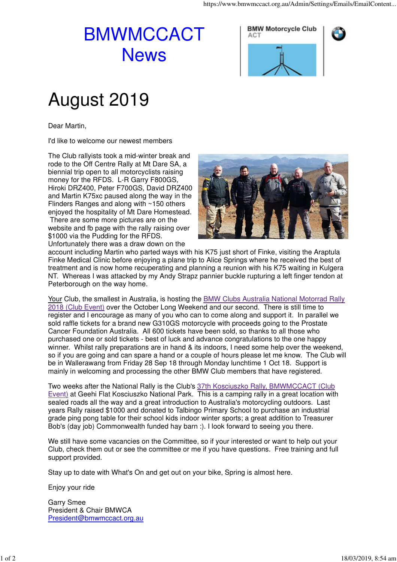## BMWMCCACT **News**

**BMW Motorcycle Club ACT** 



## August 2019

Dear Martin,

I'd like to welcome our newest members

The Club rallyists took a mid-winter break and rode to the Off Centre Rally at Mt Dare SA, a biennial trip open to all motorcyclists raising money for the RFDS. L-R Garry F800GS, Hiroki DRZ400, Peter F700GS, David DRZ400 and Martin K75xc paused along the way in the Flinders Ranges and along with ~150 others enjoyed the hospitality of Mt Dare Homestead. There are some more pictures are on the website and fb page with the rally raising over \$1000 via the Pudding for the RFDS. Unfortunately there was a draw down on the



account including Martin who parted ways with his K75 just short of Finke, visiting the Araptula Finke Medical Clinic before enjoying a plane trip to Alice Springs where he received the best of treatment and is now home recuperating and planning a reunion with his K75 waiting in Kulgera NT. Whereas I was attacked by my Andy Strapz pannier buckle rupturing a left finger tendon at Peterborough on the way home.

Your Club, the smallest in Australia, is hosting the **BMW Clubs Australia National Motorrad Rally** 2018 (Club Event) over the October Long Weekend and our second. There is still time to register and I encourage as many of you who can to come along and support it. In parallel we sold raffle tickets for a brand new G310GS motorcycle with proceeds going to the Prostate Cancer Foundation Australia. All 600 tickets have been sold, so thanks to all those who purchased one or sold tickets - best of luck and advance congratulations to the one happy winner. Whilst rally preparations are in hand & its indoors, I need some help over the weekend, so if you are going and can spare a hand or a couple of hours please let me know. The Club will be in Wallerawang from Friday 28 Sep 18 through Monday lunchtime 1 Oct 18. Support is mainly in welcoming and processing the other BMW Club members that have registered.

Two weeks after the National Rally is the Club's 37th Kosciuszko Rally, BMWMCCACT (Club Event) at Geehi Flat Kosciuszko National Park. This is a camping rally in a great location with sealed roads all the way and a great introduction to Australia's motorcycling outdoors. Last years Rally raised \$1000 and donated to Talbingo Primary School to purchase an industrial grade ping pong table for their school kids indoor winter sports; a great addition to Treasurer Bob's (day job) Commonwealth funded hay barn :). I look forward to seeing you there.

We still have some vacancies on the Committee, so if your interested or want to help out your Club, check them out or see the committee or me if you have questions. Free training and full support provided.

Stay up to date with What's On and get out on your bike, Spring is almost here.

Enjoy your ride

Garry Smee President & Chair BMWCA President@bmwmccact.org.au